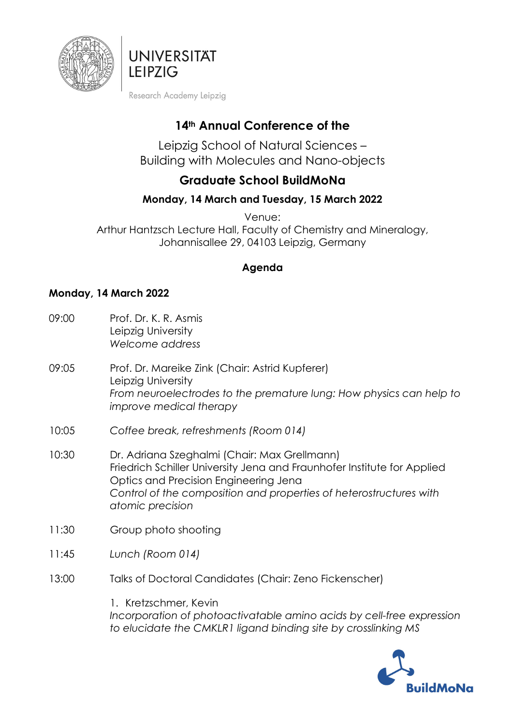



Research Academy Leipzig

# **14th Annual Conference of the**

Leipzig School of Natural Sciences – Building with Molecules and Nano-objects

# **Graduate School BuildMoNa**

# **Monday, 14 March and Tuesday, 15 March 2022**

Venue:

Arthur Hantzsch Lecture Hall, Faculty of Chemistry and Mineralogy, Johannisallee 29, 04103 Leipzig, Germany

### **Agenda**

#### **Monday, 14 March 2022**

- 09:00 Prof. Dr. K. R. Asmis Leipzig University *Welcome address*
- 09:05 Prof. Dr. Mareike Zink (Chair: Astrid Kupferer) Leipzig University *From neuroelectrodes to the premature lung: How physics can help to improve medical therapy*
- 10:05 *Coffee break, refreshments (Room 014)*
- 10:30 Dr. Adriana Szeghalmi (Chair: Max Grellmann) Friedrich Schiller University Jena and Fraunhofer Institute for Applied Optics and Precision Engineering Jena *Control of the composition and properties of heterostructures with atomic precision*
- 11:30 Group photo shooting
- 11:45 *Lunch (Room 014)*
- 13:00 Talks of Doctoral Candidates (Chair: Zeno Fickenscher)

1. Kretzschmer, Kevin *Incorporation of photoactivatable amino acids by cell-free expression to elucidate the CMKLR1 ligand binding site by crosslinking MS*

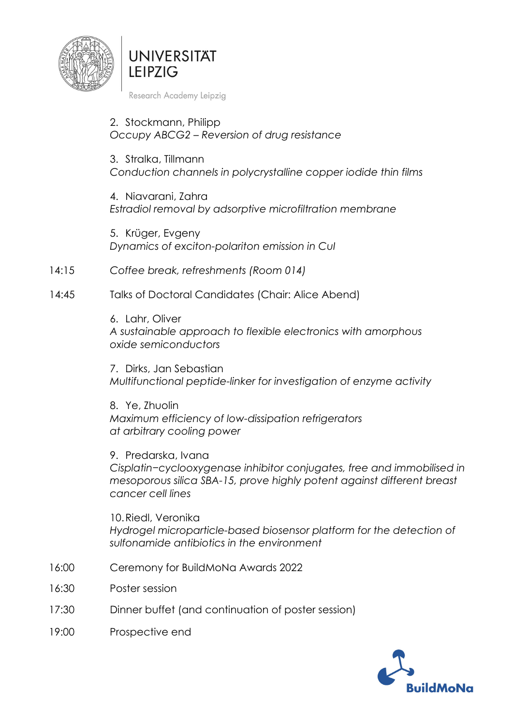

**UNIVERSITAT IFIPZIG** 

Research Academy Leipzig

2. Stockmann, Philipp *Occupy ABCG2 – Reversion of drug resistance* 

3. Stralka, Tillmann *Conduction channels in polycrystalline copper iodide thin films* 

4. Niavarani, Zahra *Estradiol removal by adsorptive microfiltration membrane* 

5. Krüger, Evgeny *Dynamics of exciton-polariton emission in CuI* 

14:15 *Coffee break, refreshments (Room 014)*

#### 14:45 Talks of Doctoral Candidates (Chair: Alice Abend)

6. Lahr, Oliver *A sustainable approach to flexible electronics with amorphous oxide semiconductors* 

7. Dirks, Jan Sebastian *Multifunctional peptide-linker for investigation of enzyme activity* 

8. Ye, Zhuolin *Maximum efficiency of low-dissipation refrigerators at arbitrary cooling power* 

9. Predarska, Ivana *Cisplatin−cyclooxygenase inhibitor conjugates, free and immobilised in mesoporous silica SBA-15, prove highly potent against different breast cancer cell lines* 

10.Riedl, Veronika *Hydrogel microparticle-based biosensor platform for the detection of sulfonamide antibiotics in the environment* 

- 16:00 Ceremony for BuildMoNa Awards 2022
- 16:30 Poster session
- 17:30 Dinner buffet (and continuation of poster session)
- 19:00 Prospective end

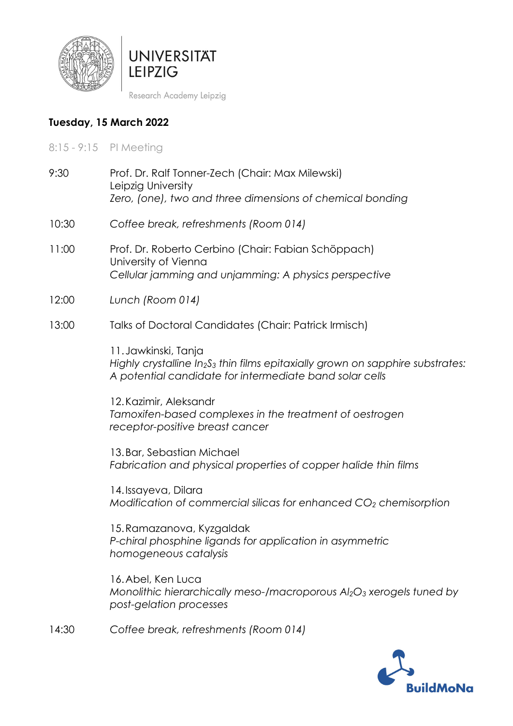



Research Academy Leipzig

## **Tuesday, 15 March 2022**

- 8:15 9:15 PI Meeting
- 9:30 Prof. Dr. Ralf Tonner-Zech (Chair: Max Milewski) Leipzig University *Zero, (one), two and three dimensions of chemical bonding*
- 10:30 *Coffee break, refreshments (Room 014)*
- 11:00 Prof. Dr. Roberto Cerbino (Chair: Fabian Schöppach) University of Vienna *Cellular jamming and unjamming: A physics perspective*
- 12:00 *Lunch (Room 014)*
- 13:00 Talks of Doctoral Candidates (Chair: Patrick Irmisch)

11.Jawkinski, Tanja *Highly crystalline In2S3 thin films epitaxially grown on sapphire substrates: A potential candidate for intermediate band solar cells* 

12.Kazimir, Aleksandr *Tamoxifen-based complexes in the treatment of oestrogen receptor-positive breast cancer* 

13.Bar, Sebastian Michael *Fabrication and physical properties of copper halide thin films* 

14.Issayeva, Dilara *Modification of commercial silicas for enhanced CO2 chemisorption* 

15.Ramazanova, Kyzgaldak *P-chiral phosphine ligands for application in asymmetric homogeneous catalysis* 

16.Abel, Ken Luca *Monolithic hierarchically meso-/macroporous Al2O3 xerogels tuned by post-gelation processes* 

14:30 *Coffee break, refreshments (Room 014)*